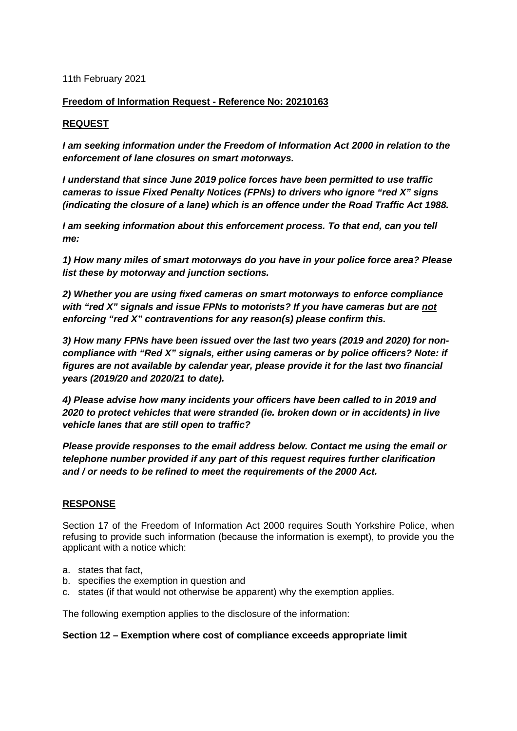11th February 2021

## **Freedom of Information Request - Reference No: 20210163**

## **REQUEST**

*I am seeking information under the Freedom of Information Act 2000 in relation to the enforcement of lane closures on smart motorways.* 

*I understand that since June 2019 police forces have been permitted to use traffic cameras to issue Fixed Penalty Notices (FPNs) to drivers who ignore "red X" signs (indicating the closure of a lane) which is an offence under the Road Traffic Act 1988.* 

*I am seeking information about this enforcement process. To that end, can you tell me:*

*1) How many miles of smart motorways do you have in your police force area? Please list these by motorway and junction sections.*

*2) Whether you are using fixed cameras on smart motorways to enforce compliance with "red X" signals and issue FPNs to motorists? If you have cameras but are not enforcing "red X" contraventions for any reason(s) please confirm this.* 

*3) How many FPNs have been issued over the last two years (2019 and 2020) for noncompliance with "Red X" signals, either using cameras or by police officers? Note: if figures are not available by calendar year, please provide it for the last two financial years (2019/20 and 2020/21 to date).* 

*4) Please advise how many incidents your officers have been called to in 2019 and 2020 to protect vehicles that were stranded (ie. broken down or in accidents) in live vehicle lanes that are still open to traffic?*

*Please provide responses to the email address below. Contact me using the email or telephone number provided if any part of this request requires further clarification and / or needs to be refined to meet the requirements of the 2000 Act.* 

## **RESPONSE**

Section 17 of the Freedom of Information Act 2000 requires South Yorkshire Police, when refusing to provide such information (because the information is exempt), to provide you the applicant with a notice which:

- a. states that fact,
- b. specifies the exemption in question and
- c. states (if that would not otherwise be apparent) why the exemption applies.

The following exemption applies to the disclosure of the information:

## **Section 12 – Exemption where cost of compliance exceeds appropriate limit**